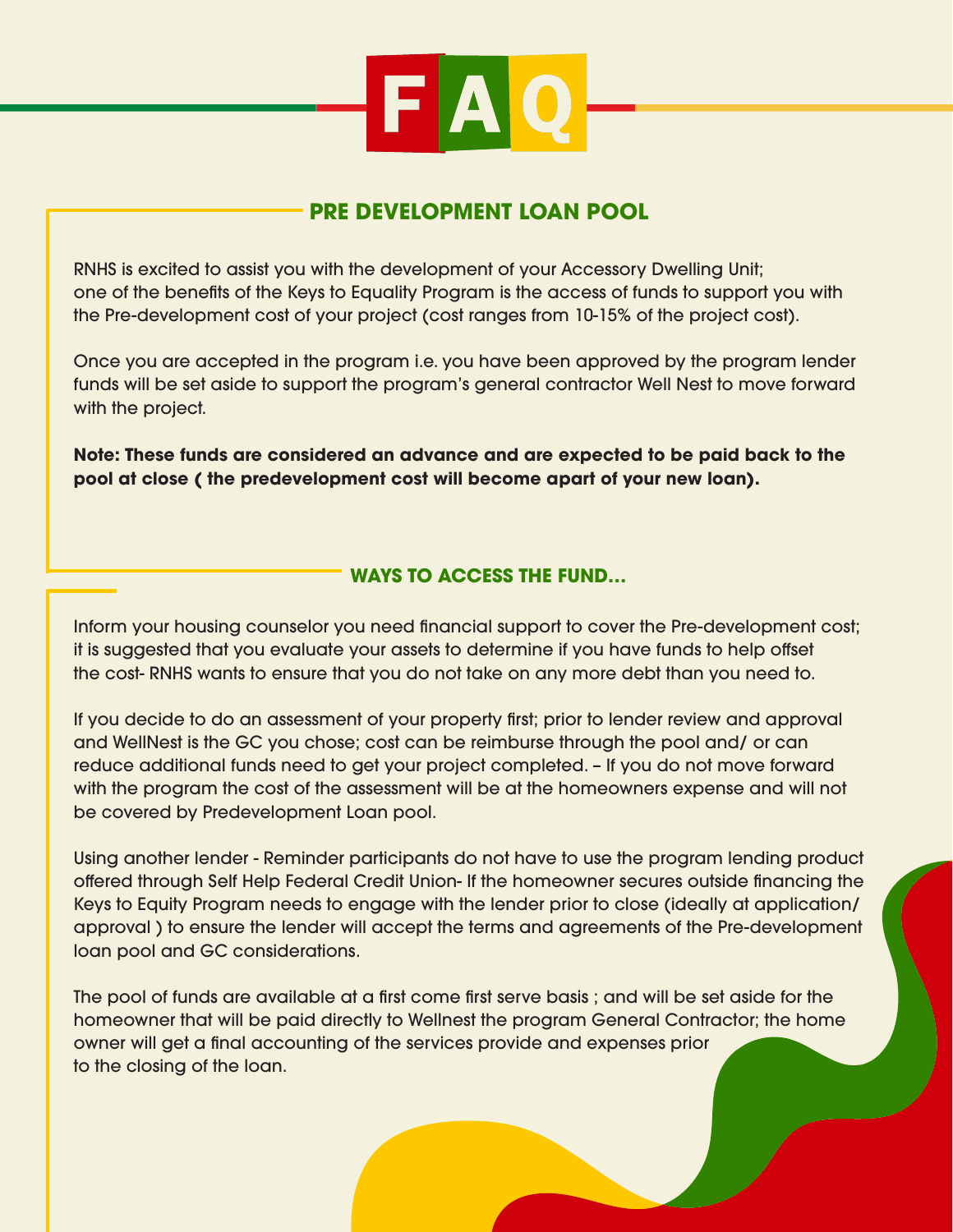

## **PRE DEVELOPMENT LOAN POOL**

RNHS is excited to assist you with the development of your Accessory Dwelling Unit; one of the benefits of the Keys to Equality Program is the access of funds to support you with the Pre-development cost of your project (cost ranges from 10-15% of the project cost).

Once you are accepted in the program i.e. you have been approved by the program lender funds will be set aside to support the program's general contractor Well Nest to move forward with the project.

**Note: These funds are considered an advance and are expected to be paid back to the pool at close ( the predevelopment cost will become apart of your new loan).**

## **WAYS TO ACCESS THE FUND…**

Inform your housing counselor you need financial support to cover the Pre-development cost; it is suggested that you evaluate your assets to determine if you have funds to help offset the cost- RNHS wants to ensure that you do not take on any more debt than you need to.

If you decide to do an assessment of your property first; prior to lender review and approval and WellNest is the GC you chose; cost can be reimburse through the pool and/ or can reduce additional funds need to get your project completed. – If you do not move forward with the program the cost of the assessment will be at the homeowners expense and will not be covered by Predevelopment Loan pool.

Using another lender - Reminder participants do not have to use the program lending product offered through Self Help Federal Credit Union- If the homeowner secures outside financing the Keys to Equity Program needs to engage with the lender prior to close (ideally at application/ approval ) to ensure the lender will accept the terms and agreements of the Pre-development loan pool and GC considerations.

The pool of funds are available at a first come first serve basis ; and will be set aside for the homeowner that will be paid directly to Wellnest the program General Contractor; the home owner will get a final accounting of the services provide and expenses prior to the closing of the loan.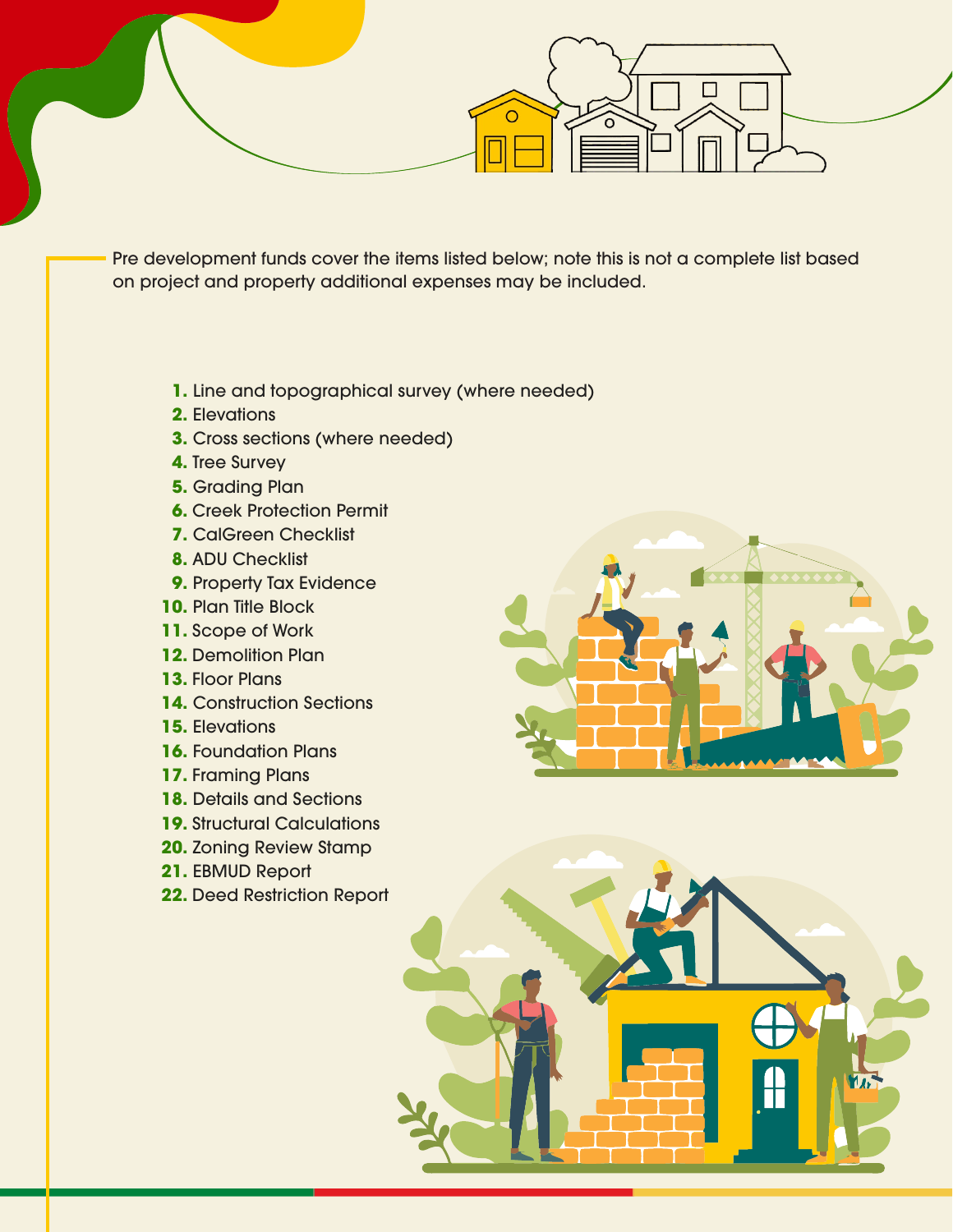Pre development funds cover the items listed below; note this is not a complete list based on project and property additional expenses may be included.

- **1.** Line and topographical survey (where needed)
- **2.** Elevations
- **3.** Cross sections (where needed)
- **4.** Tree Survey
- **5.** Grading Plan
- **6.** Creek Protection Permit
- **7.** CalGreen Checklist
- **8.** ADU Checklist
- **9.** Property Tax Evidence
- **10.** Plan Title Block
- **11.** Scope of Work
- **12.** Demolition Plan
- **13.** Floor Plans
- **14.** Construction Sections
- **15.** Elevations
- **16.** Foundation Plans
- **17.** Framing Plans
- **18.** Details and Sections
- **19.** Structural Calculations
- **20.** Zoning Review Stamp
- **21.** EBMUD Report
- **22.** Deed Restriction Report



**Tale**